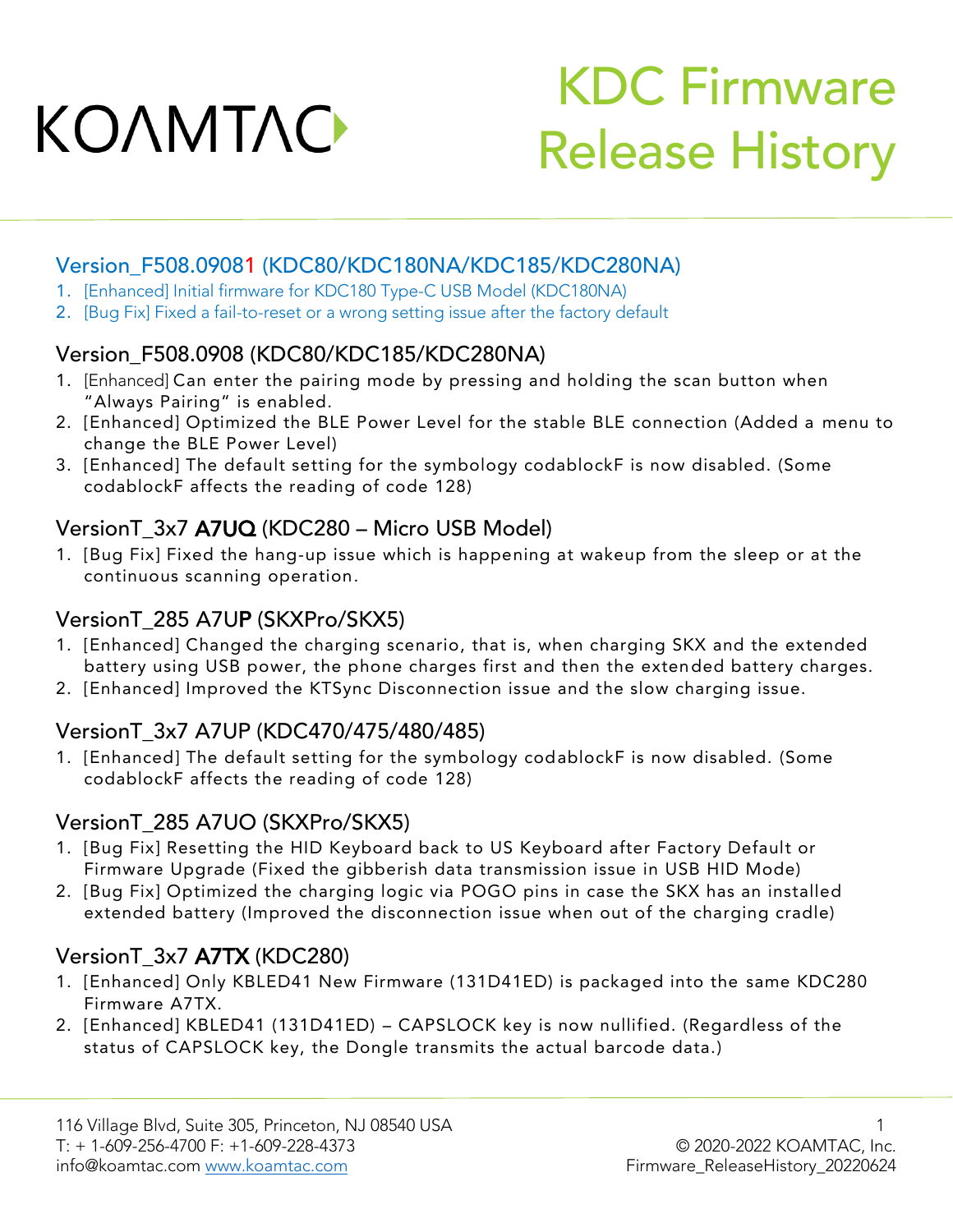# KDC Firmware Release History

#### Version\_F508.09081 (KDC80/KDC180NA/KDC185/KDC280NA)

- 1. [Enhanced] Initial firmware for KDC180 Type-C USB Model (KDC180NA)
- 2. [Bug Fix] Fixed a fail-to-reset or a wrong setting issue after the factory default

## Version\_F508.0908 (KDC80/KDC185/KDC280NA)

- 1. [Enhanced] Can enter the pairing mode by pressing and holding the scan button when "Always Pairing" is enabled.
- 2. [Enhanced] Optimized the BLE Power Level for the stable BLE connection (Added a menu to change the BLE Power Level)
- 3. [Enhanced] The default setting for the symbology codablockF is now disabled. (Some codablockF affects the reading of code 128)

## VersionT\_3x7 A7UQ (KDC280 – Micro USB Model)

1. [Bug Fix] Fixed the hang-up issue which is happening at wakeup from the sleep or at the continuous scanning operation.

## VersionT\_285 A7UP (SKXPro/SKX5)

- 1. [Enhanced] Changed the charging scenario, that is, when charging SKX and the extended battery using USB power, the phone charges first and then the extended battery charges.
- 2. [Enhanced] Improved the KTSync Disconnection issue and the slow charging issue.

## VersionT\_3x7 A7UP (KDC470/475/480/485)

1. [Enhanced] The default setting for the symbology codablockF is now disabled. (Some codablockF affects the reading of code 128)

#### VersionT\_285 A7UO (SKXPro/SKX5)

- 1. [Bug Fix] Resetting the HID Keyboard back to US Keyboard after Factory Default or Firmware Upgrade (Fixed the gibberish data transmission issue in USB HID Mode)
- 2. [Bug Fix] Optimized the charging logic via POGO pins in case the SKX has an installed extended battery (Improved the disconnection issue when out of the charging cradle)

## VersionT\_3x7 A7TX (KDC280)

- 1. [Enhanced] Only KBLED41 New Firmware (131D41ED) is packaged into the same KDC280 Firmware A7TX.
- 2. [Enhanced] KBLED41 (131D41ED) CAPSLOCK key is now nullified. (Regardless of the status of CAPSLOCK key, the Dongle transmits the actual barcode data.)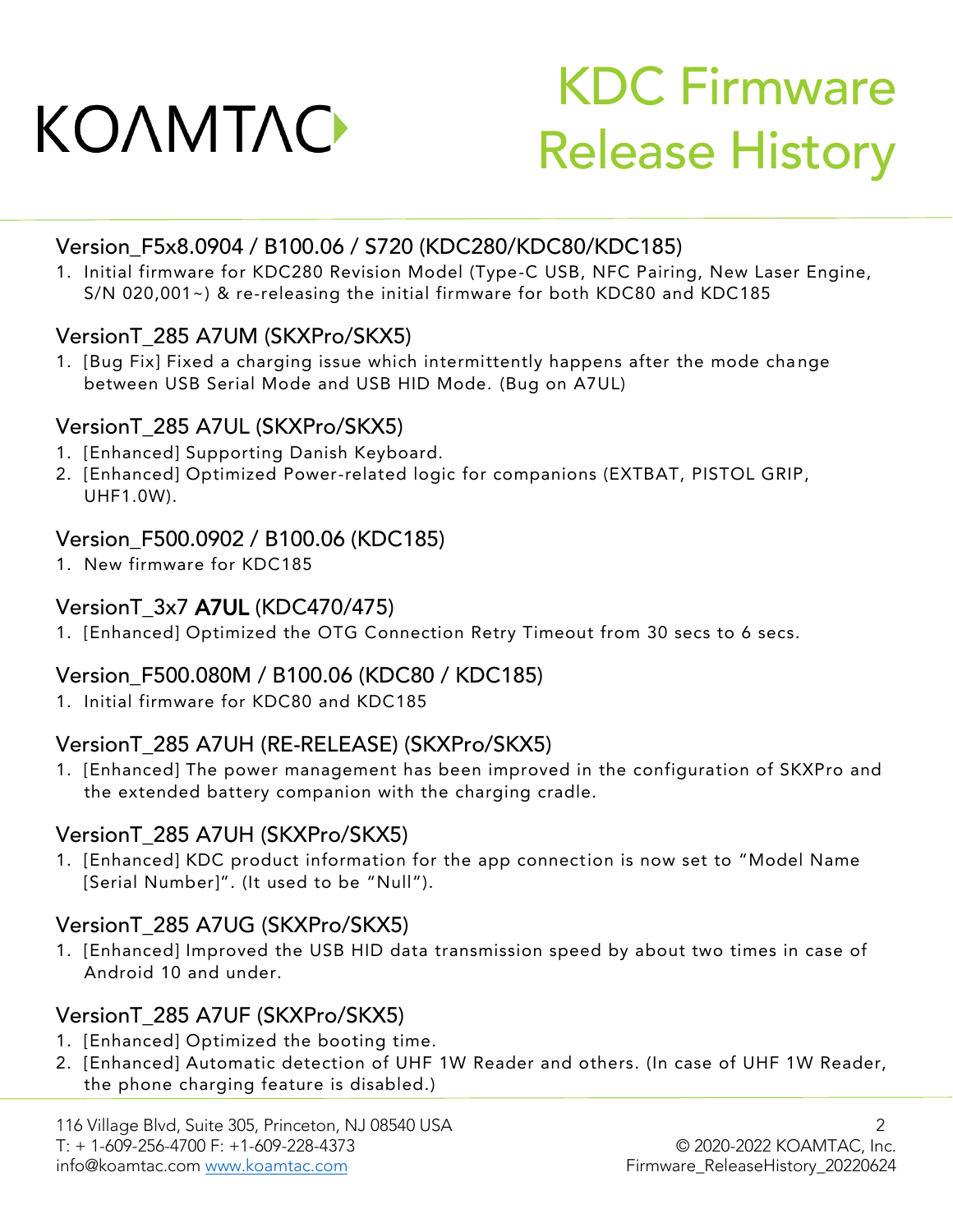# KDC Firmware Release History

#### Version\_F5x8.0904 / B100.06 / S720 (KDC280/KDC80/KDC185)

1. Initial firmware for KDC280 Revision Model (Type-C USB, NFC Pairing, New Laser Engine, S/N 020,001~) & re-releasing the initial firmware for both KDC80 and KDC185

#### VersionT\_285 A7UM (SKXPro/SKX5)

1. [Bug Fix] Fixed a charging issue which intermittently happens after the mode cha nge between USB Serial Mode and USB HID Mode. (Bug on A7UL)

#### VersionT\_285 A7UL (SKXPro/SKX5)

- 1. [Enhanced] Supporting Danish Keyboard.
- 2. [Enhanced] Optimized Power-related logic for companions (EXTBAT, PISTOL GRIP, UHF1.0W).

#### Version\_F500.0902 / B100.06 (KDC185)

1. New firmware for KDC185

#### VersionT\_3x7 A7UL (KDC470/475)

1. [Enhanced] Optimized the OTG Connection Retry Timeout from 30 secs to 6 secs.

## Version\_F500.080M / B100.06 (KDC80 / KDC185)

1. Initial firmware for KDC80 and KDC185

## VersionT\_285 A7UH (RE-RELEASE) (SKXPro/SKX5)

1. [Enhanced] The power management has been improved in the configuration of SKXPro and the extended battery companion with the charging cradle.

#### VersionT\_285 A7UH (SKXPro/SKX5)

1. [Enhanced] KDC product information for the app connection is now set to "Model Name [Serial Number]". (It used to be "Null").

## VersionT\_285 A7UG (SKXPro/SKX5)

1. [Enhanced] Improved the USB HID data transmission speed by about two times in case of Android 10 and under.

## VersionT\_285 A7UF (SKXPro/SKX5)

- 1. [Enhanced] Optimized the booting time.
- 2. [Enhanced] Automatic detection of UHF 1W Reader and others. (In case of UHF 1W Reader, the phone charging feature is disabled.)

116 Village Blvd, Suite 305, Princeton, NJ 08540 USA 2 info@koamtac.com www.koamtac.com entitled was absoluted by the self-term of Firmware ReleaseHistory 20220624 info@koamtac.com <u>www.koamtac.com Firmware</u>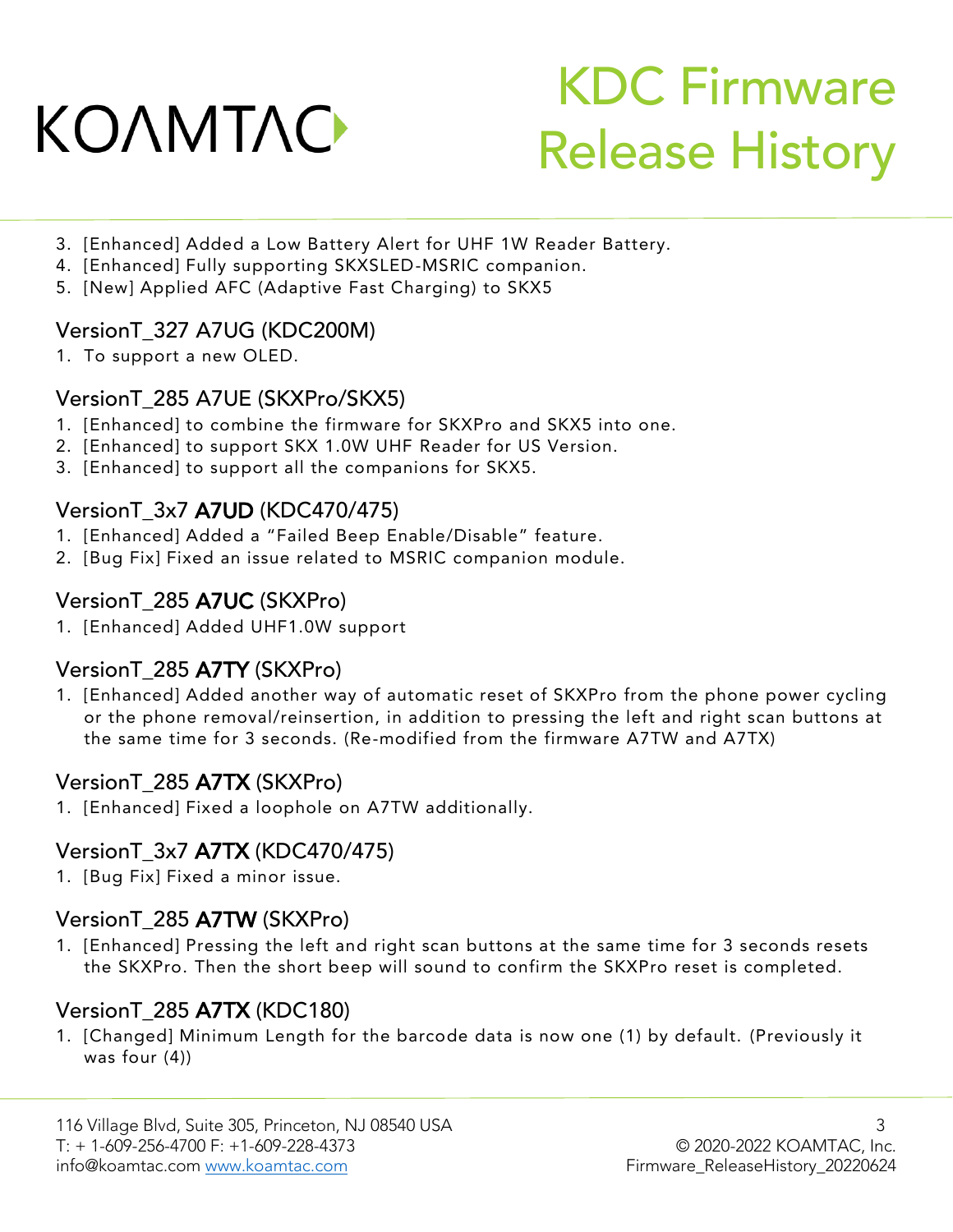# KDC Firmware Release History

- 3. [Enhanced] Added a Low Battery Alert for UHF 1W Reader Battery.
- 4. [Enhanced] Fully supporting SKXSLED-MSRIC companion.
- 5. [New] Applied AFC (Adaptive Fast Charging) to SKX5

# VersionT\_327 A7UG (KDC200M)

1. To support a new OLED.

## VersionT\_285 A7UE (SKXPro/SKX5)

- 1. [Enhanced] to combine the firmware for SKXPro and SKX5 into one.
- 2. [Enhanced] to support SKX 1.0W UHF Reader for US Version.
- 3. [Enhanced] to support all the companions for SKX5.

# VersionT\_3x7 A7UD (KDC470/475)

- 1. [Enhanced] Added a "Failed Beep Enable/Disable" feature.
- 2. [Bug Fix] Fixed an issue related to MSRIC companion module.

# VersionT\_285 A7UC (SKXPro)

1. [Enhanced] Added UHF1.0W support

# VersionT\_285 A7TY (SKXPro)

1. [Enhanced] Added another way of automatic reset of SKXPro from the phone power cycling or the phone removal/reinsertion, in addition to pressing the left and right scan buttons at the same time for 3 seconds. (Re-modified from the firmware A7TW and A7TX)

# VersionT\_285 A7TX (SKXPro)

1. [Enhanced] Fixed a loophole on A7TW additionally.

# VersionT\_3x7 A7TX (KDC470/475)

1. [Bug Fix] Fixed a minor issue.

## VersionT\_285 A7TW (SKXPro)

1. [Enhanced] Pressing the left and right scan buttons at the same time for 3 seconds resets the SKXPro. Then the short beep will sound to confirm the SKXPro reset is completed.

# VersionT\_285 A7TX (KDC180)

1. [Changed] Minimum Length for the barcode data is now one (1) by default. (Previously it was four (4))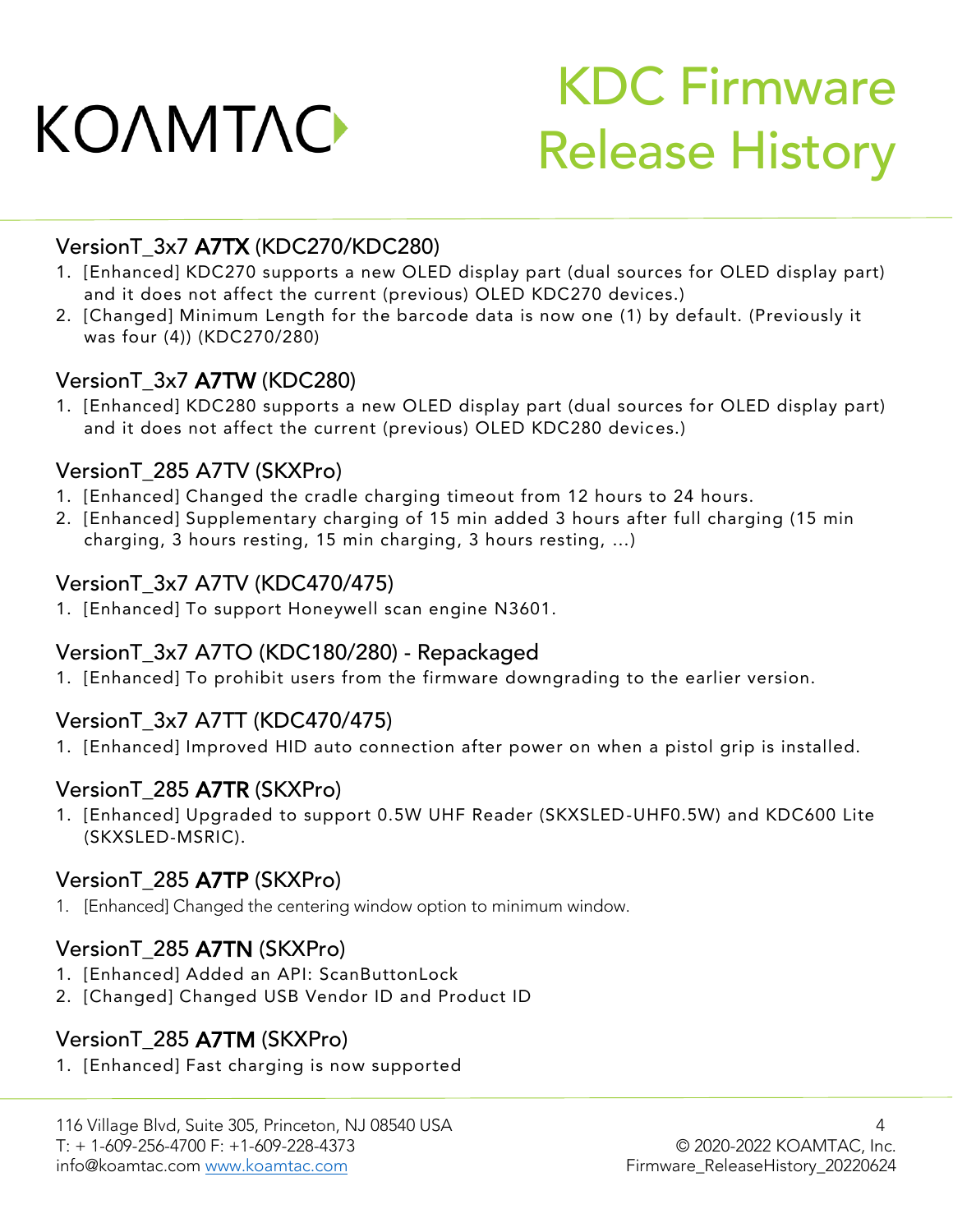# KDC Firmware Release History

## VersionT\_3x7 A7TX (KDC270/KDC280)

- 1. [Enhanced] KDC270 supports a new OLED display part (dual sources for OLED display part) and it does not affect the current (previous) OLED KDC270 devices.)
- 2. [Changed] Minimum Length for the barcode data is now one (1) by default. (Previously it was four (4)) (KDC270/280)

#### VersionT\_3x7 A7TW (KDC280)

1. [Enhanced] KDC280 supports a new OLED display part (dual sources for OLED display part) and it does not affect the current (previous) OLED KDC280 devices.)

#### VersionT\_285 A7TV (SKXPro)

- 1. [Enhanced] Changed the cradle charging timeout from 12 hours to 24 hours.
- 2. [Enhanced] Supplementary charging of 15 min added 3 hours after full charging (15 min charging, 3 hours resting, 15 min charging, 3 hours resting, …)

#### VersionT\_3x7 A7TV (KDC470/475)

1. [Enhanced] To support Honeywell scan engine N3601.

#### VersionT\_3x7 A7TO (KDC180/280) - Repackaged

1. [Enhanced] To prohibit users from the firmware downgrading to the earlier version.

#### VersionT\_3x7 A7TT (KDC470/475)

1. [Enhanced] Improved HID auto connection after power on when a pistol grip is installed.

#### VersionT\_285 A7TR (SKXPro)

1. [Enhanced] Upgraded to support 0.5W UHF Reader (SKXSLED-UHF0.5W) and KDC600 Lite (SKXSLED-MSRIC).

#### VersionT\_285 A7TP (SKXPro)

1. [Enhanced] Changed the centering window option to minimum window.

#### VersionT\_285 A7TN (SKXPro)

- 1. [Enhanced] Added an API: ScanButtonLock
- 2. [Changed] Changed USB Vendor ID and Product ID

#### VersionT\_285 A7TM (SKXPro)

1. [Enhanced] Fast charging is now supported

116 Village Blvd, Suite 305, Princeton, NJ 08540 USA 4 info@koamtac.com www.koamtac.com entitled was absoluted by the self-term of Firmware ReleaseHistory 20220624 info@koamtac.com <u>www.koamtac.com Firmware</u>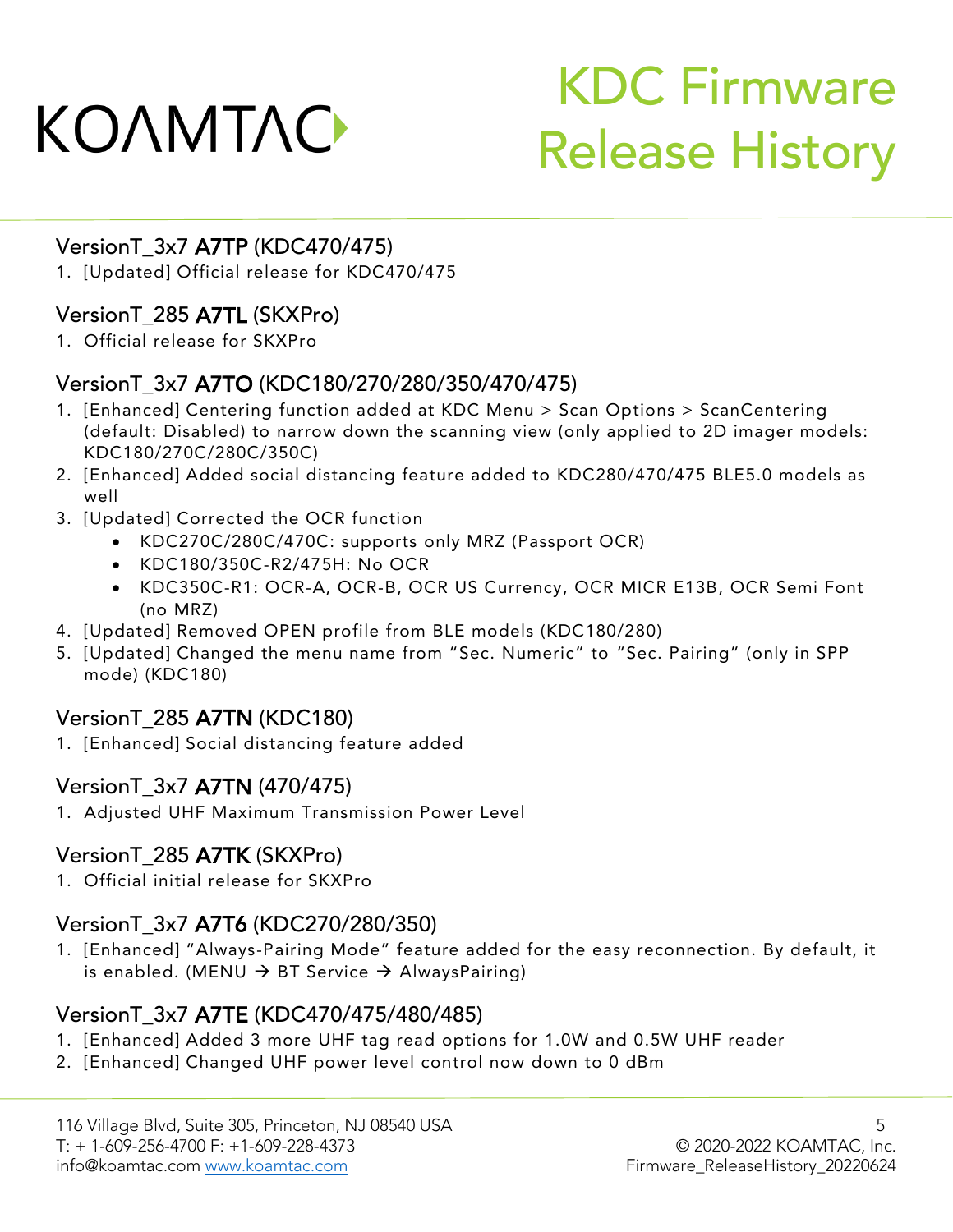# KDC Firmware Release History

#### VersionT\_3x7 A7TP (KDC470/475)

1. [Updated] Official release for KDC470/475

# VersionT\_285 A7TL (SKXPro)

1. Official release for SKXPro

# VersionT\_3x7 A7TO (KDC180/270/280/350/470/475)

- 1. [Enhanced] Centering function added at KDC Menu > Scan Options > ScanCentering (default: Disabled) to narrow down the scanning view (only applied to 2D imager models: KDC180/270C/280C/350C)
- 2. [Enhanced] Added social distancing feature added to KDC280/470/475 BLE5.0 models as well
- 3. [Updated] Corrected the OCR function
	- KDC270C/280C/470C: supports only MRZ (Passport OCR)
	- KDC180/350C-R2/475H: No OCR
	- KDC350C-R1: OCR-A, OCR-B, OCR US Currency, OCR MICR E13B, OCR Semi Font (no MRZ)
- 4. [Updated] Removed OPEN profile from BLE models (KDC180/280)
- 5. [Updated] Changed the menu name from "Sec. Numeric" to "Sec. Pairing" (only in SPP mode) (KDC180)

## VersionT\_285 A7TN (KDC180)

1. [Enhanced] Social distancing feature added

## VersionT\_3x7 A7TN (470/475)

1. Adjusted UHF Maximum Transmission Power Level

## VersionT\_285 A7TK (SKXPro)

1. Official initial release for SKXPro

## VersionT\_3x7 A7T6 (KDC270/280/350)

1. [Enhanced] "Always-Pairing Mode" feature added for the easy reconnection. By default, it is enabled. (MENU  $\rightarrow$  BT Service  $\rightarrow$  AlwaysPairing)

## VersionT\_3x7 A7TE (KDC470/475/480/485)

- 1. [Enhanced] Added 3 more UHF tag read options for 1.0W and 0.5W UHF reader
- 2. [Enhanced] Changed UHF power level control now down to 0 dBm